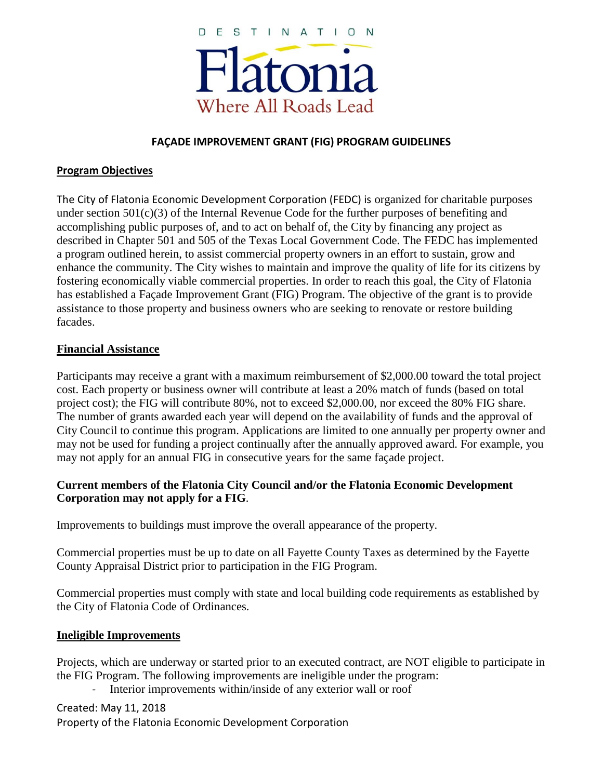

### **FAÇADE IMPROVEMENT GRANT (FIG) PROGRAM GUIDELINES**

#### **Program Objectives**

The City of Flatonia Economic Development Corporation (FEDC) is organized for charitable purposes under section  $501(c)(3)$  of the Internal Revenue Code for the further purposes of benefiting and accomplishing public purposes of, and to act on behalf of, the City by financing any project as described in Chapter 501 and 505 of the Texas Local Government Code. The FEDC has implemented a program outlined herein, to assist commercial property owners in an effort to sustain, grow and enhance the community. The City wishes to maintain and improve the quality of life for its citizens by fostering economically viable commercial properties. In order to reach this goal, the City of Flatonia has established a Façade Improvement Grant (FIG) Program. The objective of the grant is to provide assistance to those property and business owners who are seeking to renovate or restore building facades.

#### **Financial Assistance**

Participants may receive a grant with a maximum reimbursement of \$2,000.00 toward the total project cost. Each property or business owner will contribute at least a 20% match of funds (based on total project cost); the FIG will contribute 80%, not to exceed \$2,000.00, nor exceed the 80% FIG share. The number of grants awarded each year will depend on the availability of funds and the approval of City Council to continue this program. Applications are limited to one annually per property owner and may not be used for funding a project continually after the annually approved award. For example, you may not apply for an annual FIG in consecutive years for the same façade project.

## **Current members of the Flatonia City Council and/or the Flatonia Economic Development Corporation may not apply for a FIG**.

Improvements to buildings must improve the overall appearance of the property.

Commercial properties must be up to date on all Fayette County Taxes as determined by the Fayette County Appraisal District prior to participation in the FIG Program.

Commercial properties must comply with state and local building code requirements as established by the City of Flatonia Code of Ordinances.

#### **Ineligible Improvements**

Projects, which are underway or started prior to an executed contract, are NOT eligible to participate in the FIG Program. The following improvements are ineligible under the program:

Interior improvements within/inside of any exterior wall or roof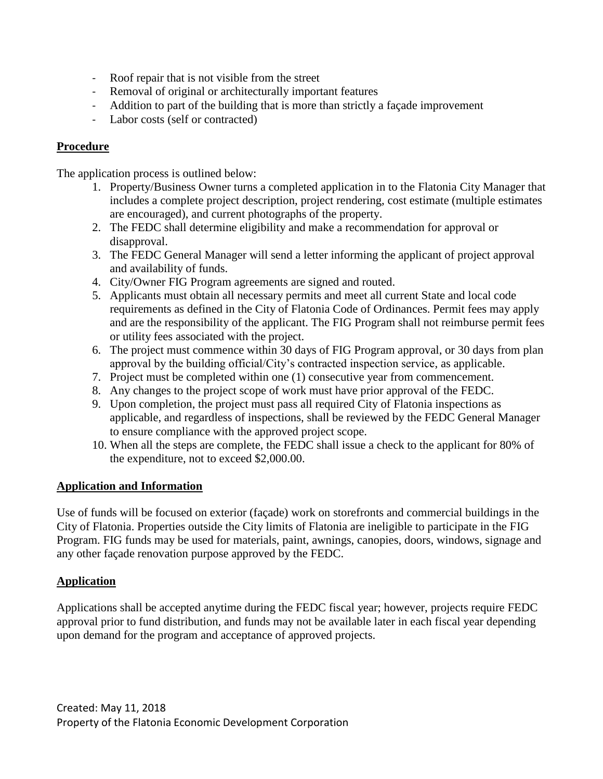- Roof repair that is not visible from the street
- Removal of original or architecturally important features
- Addition to part of the building that is more than strictly a façade improvement
- Labor costs (self or contracted)

# **Procedure**

The application process is outlined below:

- 1. Property/Business Owner turns a completed application in to the Flatonia City Manager that includes a complete project description, project rendering, cost estimate (multiple estimates are encouraged), and current photographs of the property.
- 2. The FEDC shall determine eligibility and make a recommendation for approval or disapproval.
- 3. The FEDC General Manager will send a letter informing the applicant of project approval and availability of funds.
- 4. City/Owner FIG Program agreements are signed and routed.
- 5. Applicants must obtain all necessary permits and meet all current State and local code requirements as defined in the City of Flatonia Code of Ordinances. Permit fees may apply and are the responsibility of the applicant. The FIG Program shall not reimburse permit fees or utility fees associated with the project.
- 6. The project must commence within 30 days of FIG Program approval, or 30 days from plan approval by the building official/City's contracted inspection service, as applicable.
- 7. Project must be completed within one (1) consecutive year from commencement.
- 8. Any changes to the project scope of work must have prior approval of the FEDC.
- 9. Upon completion, the project must pass all required City of Flatonia inspections as applicable, and regardless of inspections, shall be reviewed by the FEDC General Manager to ensure compliance with the approved project scope.
- 10. When all the steps are complete, the FEDC shall issue a check to the applicant for 80% of the expenditure, not to exceed \$2,000.00.

## **Application and Information**

Use of funds will be focused on exterior (façade) work on storefronts and commercial buildings in the City of Flatonia. Properties outside the City limits of Flatonia are ineligible to participate in the FIG Program. FIG funds may be used for materials, paint, awnings, canopies, doors, windows, signage and any other façade renovation purpose approved by the FEDC.

# **Application**

Applications shall be accepted anytime during the FEDC fiscal year; however, projects require FEDC approval prior to fund distribution, and funds may not be available later in each fiscal year depending upon demand for the program and acceptance of approved projects.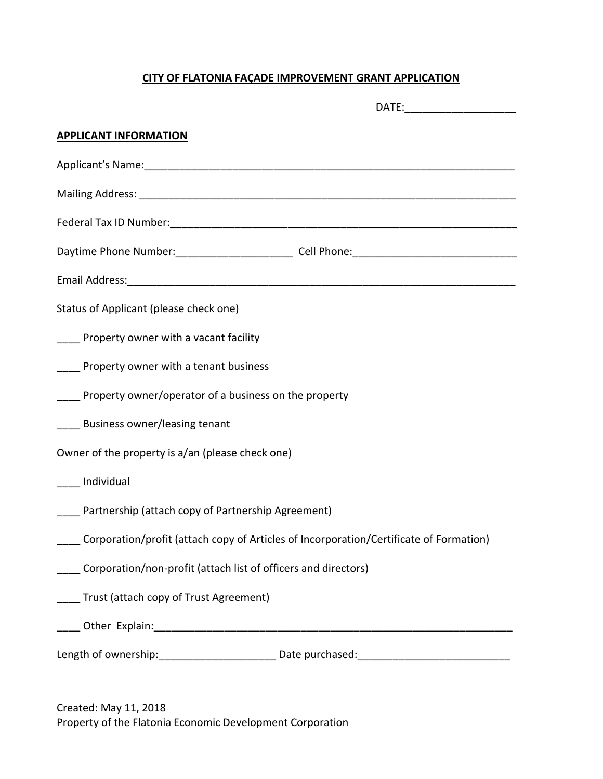# **CITY OF FLATONIA FAÇADE IMPROVEMENT GRANT APPLICATION**

| DATE:________________________                                                                                                                                                                                                  |  |  |
|--------------------------------------------------------------------------------------------------------------------------------------------------------------------------------------------------------------------------------|--|--|
| <b>APPLICANT INFORMATION</b>                                                                                                                                                                                                   |  |  |
| Applicant's Name: Applicant's Name: Applicant of the Applicant's Name: Applicant of the Applicant of the Applicant of the Applicant of the Applicant of the Applicant of the Applicant of the Applicant of the Applicant of th |  |  |
|                                                                                                                                                                                                                                |  |  |
|                                                                                                                                                                                                                                |  |  |
|                                                                                                                                                                                                                                |  |  |
|                                                                                                                                                                                                                                |  |  |
| Status of Applicant (please check one)                                                                                                                                                                                         |  |  |
| ____ Property owner with a vacant facility                                                                                                                                                                                     |  |  |
| ____ Property owner with a tenant business                                                                                                                                                                                     |  |  |
| Property owner/operator of a business on the property                                                                                                                                                                          |  |  |
| Business owner/leasing tenant                                                                                                                                                                                                  |  |  |
| Owner of the property is a/an (please check one)                                                                                                                                                                               |  |  |
| Individual                                                                                                                                                                                                                     |  |  |
| Partnership (attach copy of Partnership Agreement)                                                                                                                                                                             |  |  |
| Corporation/profit (attach copy of Articles of Incorporation/Certificate of Formation)                                                                                                                                         |  |  |
| Corporation/non-profit (attach list of officers and directors)                                                                                                                                                                 |  |  |
| Trust (attach copy of Trust Agreement)                                                                                                                                                                                         |  |  |
|                                                                                                                                                                                                                                |  |  |
| Length of ownership: _______________________________Date purchased: ________________________________                                                                                                                           |  |  |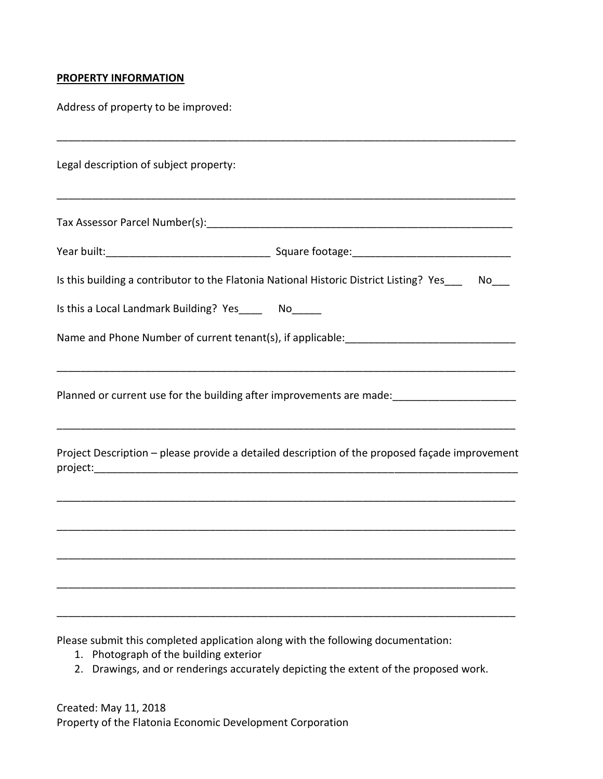#### **PROPERTY INFORMATION**

Address of property to be improved:

| Legal description of subject property: |                                                                                                |  |  |  |
|----------------------------------------|------------------------------------------------------------------------------------------------|--|--|--|
|                                        |                                                                                                |  |  |  |
|                                        |                                                                                                |  |  |  |
|                                        | Is this building a contributor to the Flatonia National Historic District Listing? Yes___ No__ |  |  |  |
|                                        | Is this a Local Landmark Building? Yes_____ No_____                                            |  |  |  |
|                                        |                                                                                                |  |  |  |
|                                        |                                                                                                |  |  |  |
|                                        | Project Description - please provide a detailed description of the proposed façade improvement |  |  |  |
|                                        |                                                                                                |  |  |  |
|                                        |                                                                                                |  |  |  |
|                                        |                                                                                                |  |  |  |
|                                        |                                                                                                |  |  |  |

Please submit this completed application along with the following documentation:

- 1. Photograph of the building exterior
- 2. Drawings, and or renderings accurately depicting the extent of the proposed work.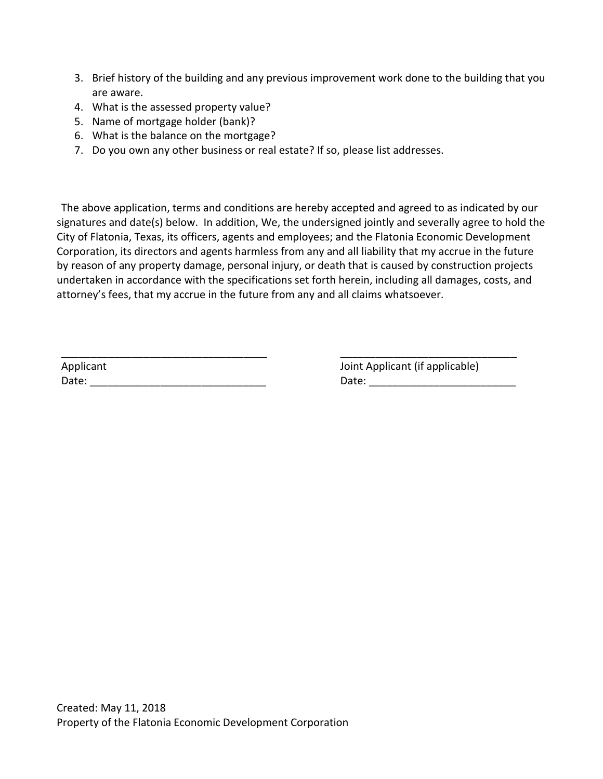- 3. Brief history of the building and any previous improvement work done to the building that you are aware.
- 4. What is the assessed property value?
- 5. Name of mortgage holder (bank)?
- 6. What is the balance on the mortgage?
- 7. Do you own any other business or real estate? If so, please list addresses.

The above application, terms and conditions are hereby accepted and agreed to as indicated by our signatures and date(s) below. In addition, We, the undersigned jointly and severally agree to hold the City of Flatonia, Texas, its officers, agents and employees; and the Flatonia Economic Development Corporation, its directors and agents harmless from any and all liability that my accrue in the future by reason of any property damage, personal injury, or death that is caused by construction projects undertaken in accordance with the specifications set forth herein, including all damages, costs, and attorney's fees, that my accrue in the future from any and all claims whatsoever.

| Applicant | Joint Applicant (if applicable) |
|-----------|---------------------------------|
| Date:     | Date:                           |